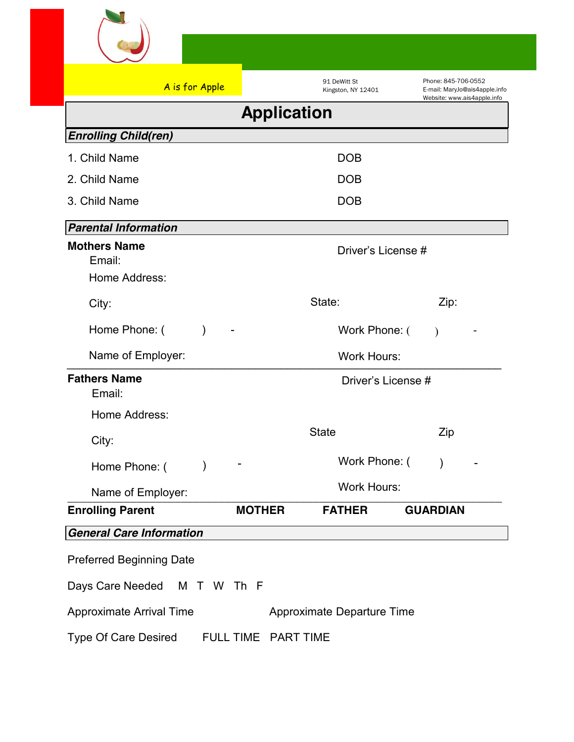

| A is for Apple                                 |                    | 91 DeWitt St<br>Kingston, NY 12401 | Phone: 845-706-0552<br>E-mail: MaryJo@ais4apple.info |
|------------------------------------------------|--------------------|------------------------------------|------------------------------------------------------|
|                                                | <b>Application</b> |                                    | Website: www.ais4apple.info                          |
| <b>Enrolling Child(ren)</b>                    |                    |                                    |                                                      |
| 1. Child Name                                  |                    | <b>DOB</b>                         |                                                      |
| 2. Child Name                                  |                    | <b>DOB</b>                         |                                                      |
| 3. Child Name                                  |                    | <b>DOB</b>                         |                                                      |
| <b>Parental Information</b>                    |                    |                                    |                                                      |
| <b>Mothers Name</b><br>Email:<br>Home Address: |                    | Driver's License #                 |                                                      |
| City:                                          |                    | State:                             | Zip:                                                 |
| Home Phone: (<br>$\mathcal{E}$                 |                    | Work Phone: (                      | $\mathcal{E}$                                        |
| Name of Employer:                              |                    | <b>Work Hours:</b>                 |                                                      |
| <b>Fathers Name</b><br>Email:                  |                    | Driver's License #                 |                                                      |
| Home Address:                                  |                    |                                    |                                                      |
| City:                                          |                    | <b>State</b>                       | Zip                                                  |
| $\mathcal{E}$<br>Home Phone: (                 |                    | Work Phone: (                      | $\mathcal{E}$                                        |
| Name of Employer:                              |                    | <b>Work Hours:</b>                 |                                                      |
| <b>Enrolling Parent</b>                        | <b>MOTHER</b>      | <b>FATHER</b>                      | <b>GUARDIAN</b>                                      |
| <b>General Care Information</b>                |                    |                                    |                                                      |
| <b>Preferred Beginning Date</b>                |                    |                                    |                                                      |
| Days Care Needed                               | M T W Th F         |                                    |                                                      |